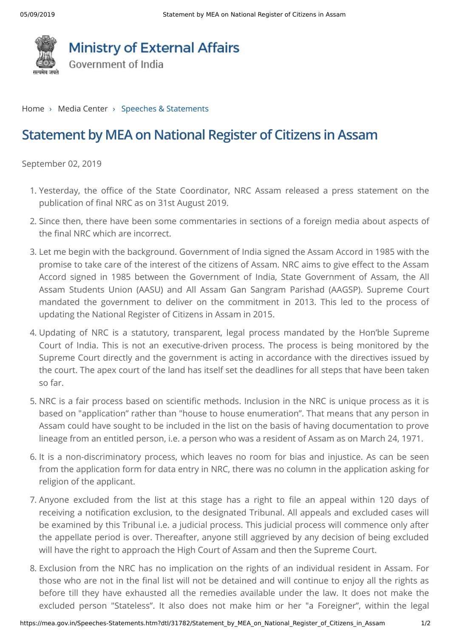

## **Ministry of External Affairs**

Government of India

[Home](https://mea.gov.in/index.htm) > Media Center > Speeches & Statements

## **Statement by MEA on National Register of Citizens in Assam**

September 02, 2019

- 1. Yesterday, the office of the State Coordinator, NRC Assam released a press statement on the publication of final NRC as on 31st August 2019.
- 2. Since then, there have been some commentaries in sections of a foreign media about aspects of the final NRC which are incorrect.
- 3. Let me begin with the background. Government of India signed the Assam Accord in 1985 with the promise to take care of the interest of the citizens of Assam. NRC aims to give effect to the Assam Accord signed in 1985 between the Government of India, State Government of Assam, the All Assam Students Union (AASU) and All Assam Gan Sangram Parishad (AAGSP). Supreme Court mandated the government to deliver on the commitment in 2013. This led to the process of updating the National Register of Citizens in Assam in 2015.
- 4. Updating of NRC is a statutory, transparent, legal process mandated by the Hon'ble Supreme Court of India. This is not an executive-driven process. The process is being monitored by the Supreme Court directly and the government is acting in accordance with the directives issued by the court. The apex court of the land has itself set the deadlines for all steps that have been taken so far.
- 5. NRC is a fair process based on scientific methods. Inclusion in the NRC is unique process as it is based on "application" rather than "house to house enumeration". That means that any person in Assam could have sought to be included in the list on the basis of having documentation to prove lineage from an entitled person, i.e. a person who was a resident of Assam as on March 24, 1971.
- 6. It is a non-discriminatory process, which leaves no room for bias and injustice. As can be seen from the application form for data entry in NRC, there was no column in the application asking for religion of the applicant.
- 7. Anyone excluded from the list at this stage has a right to file an appeal within 120 days of receiving a notification exclusion, to the designated Tribunal. All appeals and excluded cases will be examined by this Tribunal i.e. a judicial process. This judicial process will commence only after the appellate period is over. Thereafter, anyone still aggrieved by any decision of being excluded will have the right to approach the High Court of Assam and then the Supreme Court.
- 8. Exclusion from the NRC has no implication on the rights of an individual resident in Assam. For those who are not in the final list will not be detained and will continue to enjoy all the rights as before till they have exhausted all the remedies available under the law. It does not make the excluded person "Stateless". It also does not make him or her "a Foreigner", within the legal